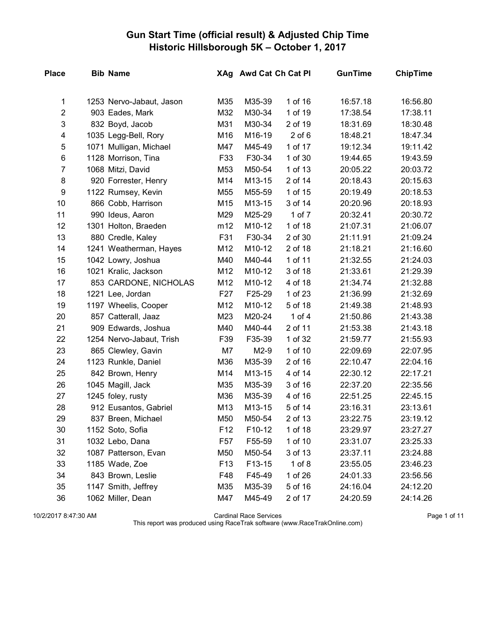## Gun Start Time (official result) & Adjusted Chip Time Historic Hillsborough 5K – October 1, 2017

| <b>Place</b>   | <b>Bib Name</b>          |                 |        | XAg Awd Cat Ch Cat Pl | <b>GunTime</b> | <b>ChipTime</b> |
|----------------|--------------------------|-----------------|--------|-----------------------|----------------|-----------------|
| 1              | 1253 Nervo-Jabaut, Jason | M35             | M35-39 | 1 of 16               | 16:57.18       | 16:56.80        |
| $\overline{c}$ | 903 Eades, Mark          | M32             | M30-34 | 1 of 19               | 17:38.54       | 17:38.11        |
| 3              | 832 Boyd, Jacob          | M31             | M30-34 | 2 of 19               | 18:31.69       | 18:30.48        |
| 4              | 1035 Legg-Bell, Rory     | M16             | M16-19 | $2$ of $6$            | 18:48.21       | 18:47.34        |
| 5              | 1071 Mulligan, Michael   | M47             | M45-49 | 1 of 17               | 19:12.34       | 19:11.42        |
| 6              | 1128 Morrison, Tina      | F33             | F30-34 | 1 of 30               | 19:44.65       | 19:43.59        |
| $\overline{7}$ | 1068 Mitzi, David        | M53             | M50-54 | 1 of 13               | 20:05.22       | 20:03.72        |
| 8              | 920 Forrester, Henry     | M14             | M13-15 | 2 of 14               | 20:18.43       | 20:15.63        |
| 9              | 1122 Rumsey, Kevin       | M55             | M55-59 | 1 of 15               | 20:19.49       | 20:18.53        |
| 10             | 866 Cobb, Harrison       | M15             | M13-15 | 3 of 14               | 20:20.96       | 20:18.93        |
| 11             | 990 Ideus, Aaron         | M29             | M25-29 | 1 of 7                | 20:32.41       | 20:30.72        |
| 12             | 1301 Holton, Braeden     | m12             | M10-12 | 1 of 18               | 21:07.31       | 21:06.07        |
| 13             | 880 Credle, Kaley        | F31             | F30-34 | 2 of 30               | 21:11.91       | 21:09.24        |
| 14             | 1241 Weatherman, Hayes   | M12             | M10-12 | 2 of 18               | 21:18.21       | 21:16.60        |
| 15             | 1042 Lowry, Joshua       | M40             | M40-44 | 1 of 11               | 21:32.55       | 21:24.03        |
| 16             | 1021 Kralic, Jackson     | M12             | M10-12 | 3 of 18               | 21:33.61       | 21:29.39        |
| 17             | 853 CARDONE, NICHOLAS    | M12             | M10-12 | 4 of 18               | 21:34.74       | 21:32.88        |
| 18             | 1221 Lee, Jordan         | F <sub>27</sub> | F25-29 | 1 of 23               | 21:36.99       | 21:32.69        |
| 19             | 1197 Wheelis, Cooper     | M12             | M10-12 | 5 of 18               | 21:49.38       | 21:48.93        |
| 20             | 857 Catterall, Jaaz      | M23             | M20-24 | 1 of $4$              | 21:50.86       | 21:43.38        |
| 21             | 909 Edwards, Joshua      | M40             | M40-44 | 2 of 11               | 21:53.38       | 21:43.18        |
| 22             | 1254 Nervo-Jabaut, Trish | F39             | F35-39 | 1 of 32               | 21:59.77       | 21:55.93        |
| 23             | 865 Clewley, Gavin       | M7              | $M2-9$ | 1 of 10               | 22:09.69       | 22:07.95        |
| 24             | 1123 Runkle, Daniel      | M36             | M35-39 | 2 of 16               | 22:10.47       | 22:04.16        |
| 25             | 842 Brown, Henry         | M14             | M13-15 | 4 of 14               | 22:30.12       | 22:17.21        |
| 26             | 1045 Magill, Jack        | M35             | M35-39 | 3 of 16               | 22:37.20       | 22:35.56        |
| 27             | 1245 foley, rusty        | M36             | M35-39 | 4 of 16               | 22:51.25       | 22:45.15        |
| 28             | 912 Eusantos, Gabriel    | M13             | M13-15 | 5 of 14               | 23:16.31       | 23:13.61        |
| 29             | 837 Breen, Michael       | M50             | M50-54 | 2 of 13               | 23:22.75       | 23:19.12        |
| 30             | 1152 Soto, Sofia         | F <sub>12</sub> | F10-12 | 1 of 18               | 23:29.97       | 23:27.27        |
| 31             | 1032 Lebo, Dana          | F57             | F55-59 | 1 of 10               | 23:31.07       | 23:25.33        |
| 32             | 1087 Patterson, Evan     | M50             | M50-54 | 3 of 13               | 23:37.11       | 23:24.88        |
| 33             | 1185 Wade, Zoe           | F <sub>13</sub> | F13-15 | $1$ of $8$            | 23:55.05       | 23:46.23        |
| 34             | 843 Brown, Leslie        | F48             | F45-49 | 1 of 26               | 24:01.33       | 23:56.56        |
| 35             | 1147 Smith, Jeffrey      | M35             | M35-39 | 5 of 16               | 24:16.04       | 24:12.20        |
| 36             | 1062 Miller, Dean        | M47             | M45-49 | 2 of 17               | 24:20.59       | 24:14.26        |

10/2/2017 8:47:30 AM Cardinal Race Services Page 1 of 11

This report was produced using RaceTrak software (www.RaceTrakOnline.com)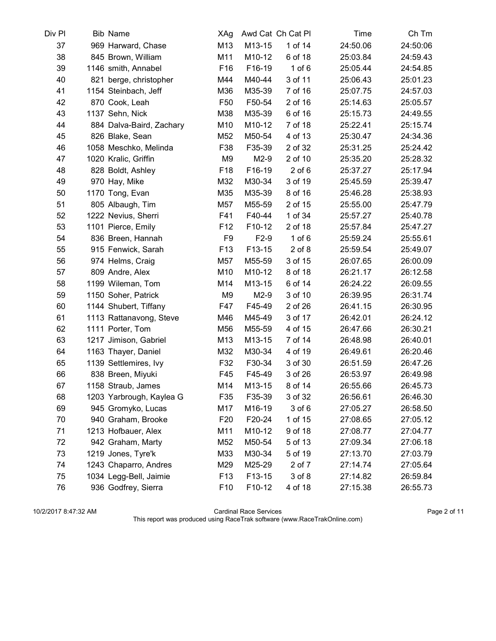| Div Pl | <b>Bib Name</b>          | XAg             |        | Awd Cat Ch Cat Pl | Time     | Ch Tm    |
|--------|--------------------------|-----------------|--------|-------------------|----------|----------|
| 37     | 969 Harward, Chase       | M13             | M13-15 | 1 of 14           | 24:50.06 | 24:50:06 |
| 38     | 845 Brown, William       | M11             | M10-12 | 6 of 18           | 25:03.84 | 24:59.43 |
| 39     | 1146 smith, Annabel      | F16             | F16-19 | $1$ of $6$        | 25:05.44 | 24:54.85 |
| 40     | 821 berge, christopher   | M44             | M40-44 | 3 of 11           | 25:06.43 | 25:01.23 |
| 41     | 1154 Steinbach, Jeff     | M36             | M35-39 | 7 of 16           | 25:07.75 | 24:57.03 |
| 42     | 870 Cook, Leah           | F <sub>50</sub> | F50-54 | 2 of 16           | 25:14.63 | 25:05.57 |
| 43     | 1137 Sehn, Nick          | M38             | M35-39 | 6 of 16           | 25:15.73 | 24:49.55 |
| 44     | 884 Dalva-Baird, Zachary | M10             | M10-12 | 7 of 18           | 25:22.41 | 25:15.74 |
| 45     | 826 Blake, Sean          | M52             | M50-54 | 4 of 13           | 25:30.47 | 24:34.36 |
| 46     | 1058 Meschko, Melinda    | F38             | F35-39 | 2 of 32           | 25:31.25 | 25:24.42 |
| 47     | 1020 Kralic, Griffin     | M9              | $M2-9$ | 2 of 10           | 25:35.20 | 25:28.32 |
| 48     | 828 Boldt, Ashley        | F <sub>18</sub> | F16-19 | $2$ of $6$        | 25:37.27 | 25:17.94 |
| 49     | 970 Hay, Mike            | M32             | M30-34 | 3 of 19           | 25:45.59 | 25:39.47 |
| 50     | 1170 Tong, Evan          | M35             | M35-39 | 8 of 16           | 25:46.28 | 25:38.93 |
| 51     | 805 Albaugh, Tim         | M57             | M55-59 | 2 of 15           | 25:55.00 | 25:47.79 |
| 52     | 1222 Nevius, Sherri      | F41             | F40-44 | 1 of 34           | 25:57.27 | 25:40.78 |
| 53     | 1101 Pierce, Emily       | F <sub>12</sub> | F10-12 | 2 of 18           | 25:57.84 | 25:47.27 |
| 54     | 836 Breen, Hannah        | F <sub>9</sub>  | $F2-9$ | $1$ of $6$        | 25:59.24 | 25:55.61 |
| 55     | 915 Fenwick, Sarah       | F <sub>13</sub> | F13-15 | $2$ of $8$        | 25:59.54 | 25:49.07 |
| 56     | 974 Helms, Craig         | M57             | M55-59 | 3 of 15           | 26:07.65 | 26:00.09 |
| 57     | 809 Andre, Alex          | M10             | M10-12 | 8 of 18           | 26:21.17 | 26:12.58 |
| 58     | 1199 Wileman, Tom        | M14             | M13-15 | 6 of 14           | 26:24.22 | 26:09.55 |
| 59     | 1150 Soher, Patrick      | M9              | $M2-9$ | 3 of 10           | 26:39.95 | 26:31.74 |
| 60     | 1144 Shubert, Tiffany    | F47             | F45-49 | 2 of 26           | 26:41.15 | 26:30.95 |
| 61     | 1113 Rattanavong, Steve  | M46             | M45-49 | 3 of 17           | 26:42.01 | 26:24.12 |
| 62     | 1111 Porter, Tom         | M56             | M55-59 | 4 of 15           | 26:47.66 | 26:30.21 |
| 63     | 1217 Jimison, Gabriel    | M13             | M13-15 | 7 of 14           | 26:48.98 | 26:40.01 |
| 64     | 1163 Thayer, Daniel      | M32             | M30-34 | 4 of 19           | 26:49.61 | 26:20.46 |
| 65     | 1139 Settlemires, Ivy    | F32             | F30-34 | 3 of 30           | 26:51.59 | 26:47.26 |
| 66     | 838 Breen, Miyuki        | F45             | F45-49 | 3 of 26           | 26:53.97 | 26:49.98 |
| 67     | 1158 Straub, James       | M14             | M13-15 | 8 of 14           | 26:55.66 | 26:45.73 |
| 68     | 1203 Yarbrough, Kaylea G | F35             | F35-39 | 3 of 32           | 26:56.61 | 26:46.30 |
| 69     | 945 Gromyko, Lucas       | M17             | M16-19 | 3 of 6            | 27:05.27 | 26:58.50 |
| 70     | 940 Graham, Brooke       | F <sub>20</sub> | F20-24 | 1 of 15           | 27:08.65 | 27:05.12 |
| 71     | 1213 Hofbauer, Alex      | M11             | M10-12 | 9 of 18           | 27:08.77 | 27:04.77 |
| 72     | 942 Graham, Marty        | M52             | M50-54 | 5 of 13           | 27:09.34 | 27:06.18 |
| 73     | 1219 Jones, Tyre'k       | M33             | M30-34 | 5 of 19           | 27:13.70 | 27:03.79 |
| 74     | 1243 Chaparro, Andres    | M29             | M25-29 | 2 of 7            | 27:14.74 | 27:05.64 |
| 75     | 1034 Legg-Bell, Jaimie   | F <sub>13</sub> | F13-15 | 3 of 8            | 27:14.82 | 26:59.84 |
| 76     | 936 Godfrey, Sierra      | F <sub>10</sub> | F10-12 | 4 of 18           | 27:15.38 | 26:55.73 |

10/2/2017 8:47:32 AM Cardinal Race Services Page 2 of 11 This report was produced using RaceTrak software (www.RaceTrakOnline.com)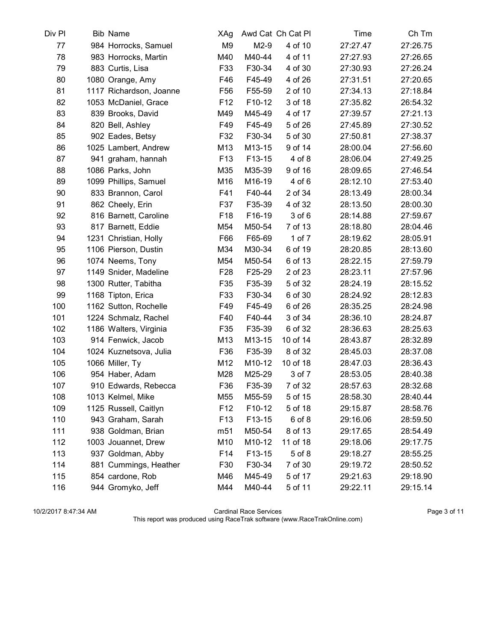| Div Pl | <b>Bib Name</b>         | XAg             |        | Awd Cat Ch Cat Pl | Time     | Ch Tm    |
|--------|-------------------------|-----------------|--------|-------------------|----------|----------|
| 77     | 984 Horrocks, Samuel    | M <sub>9</sub>  | $M2-9$ | 4 of 10           | 27:27.47 | 27:26.75 |
| 78     | 983 Horrocks, Martin    | M40             | M40-44 | 4 of 11           | 27:27.93 | 27:26.65 |
| 79     | 883 Curtis, Lisa        | F33             | F30-34 | 4 of 30           | 27:30.93 | 27:26.24 |
| 80     | 1080 Orange, Amy        | F46             | F45-49 | 4 of 26           | 27:31.51 | 27:20.65 |
| 81     | 1117 Richardson, Joanne | F <sub>56</sub> | F55-59 | 2 of 10           | 27:34.13 | 27:18.84 |
| 82     | 1053 McDaniel, Grace    | F <sub>12</sub> | F10-12 | 3 of 18           | 27:35.82 | 26:54.32 |
| 83     | 839 Brooks, David       | M49             | M45-49 | 4 of 17           | 27:39.57 | 27:21.13 |
| 84     | 820 Bell, Ashley        | F49             | F45-49 | 5 of 26           | 27:45.89 | 27:30.52 |
| 85     | 902 Eades, Betsy        | F32             | F30-34 | 5 of 30           | 27:50.81 | 27:38.37 |
| 86     | 1025 Lambert, Andrew    | M13             | M13-15 | 9 of 14           | 28:00.04 | 27:56.60 |
| 87     | 941 graham, hannah      | F <sub>13</sub> | F13-15 | 4 of 8            | 28:06.04 | 27:49.25 |
| 88     | 1086 Parks, John        | M35             | M35-39 | 9 of 16           | 28:09.65 | 27:46.54 |
| 89     | 1099 Phillips, Samuel   | M16             | M16-19 | 4 of 6            | 28:12.10 | 27:53.40 |
| 90     | 833 Brannon, Carol      | F41             | F40-44 | 2 of 34           | 28:13.49 | 28:00.34 |
| 91     | 862 Cheely, Erin        | F37             | F35-39 | 4 of 32           | 28:13.50 | 28:00.30 |
| 92     | 816 Barnett, Caroline   | F <sub>18</sub> | F16-19 | 3 of 6            | 28:14.88 | 27:59.67 |
| 93     | 817 Barnett, Eddie      | M54             | M50-54 | 7 of 13           | 28:18.80 | 28:04.46 |
| 94     | 1231 Christian, Holly   | F66             | F65-69 | 1 of 7            | 28:19.62 | 28:05.91 |
| 95     | 1106 Pierson, Dustin    | M34             | M30-34 | 6 of 19           | 28:20.85 | 28:13.60 |
| 96     | 1074 Neems, Tony        | M54             | M50-54 | 6 of 13           | 28:22.15 | 27:59.79 |
| 97     | 1149 Snider, Madeline   | F <sub>28</sub> | F25-29 | 2 of 23           | 28:23.11 | 27:57.96 |
| 98     | 1300 Rutter, Tabitha    | F35             | F35-39 | 5 of 32           | 28:24.19 | 28:15.52 |
| 99     | 1168 Tipton, Erica      | F33             | F30-34 | 6 of 30           | 28:24.92 | 28:12.83 |
| 100    | 1162 Sutton, Rochelle   | F49             | F45-49 | 6 of 26           | 28:35.25 | 28:24.98 |
| 101    | 1224 Schmalz, Rachel    | F40             | F40-44 | 3 of 34           | 28:36.10 | 28:24.87 |
| 102    | 1186 Walters, Virginia  | F35             | F35-39 | 6 of 32           | 28:36.63 | 28:25.63 |
| 103    | 914 Fenwick, Jacob      | M13             | M13-15 | 10 of 14          | 28:43.87 | 28:32.89 |
| 104    | 1024 Kuznetsova, Julia  | F36             | F35-39 | 8 of 32           | 28:45.03 | 28:37.08 |
| 105    | 1066 Miller, Ty         | M12             | M10-12 | 10 of 18          | 28:47.03 | 28:36.43 |
| 106    | 954 Haber, Adam         | M28             | M25-29 | 3 of 7            | 28:53.05 | 28:40.38 |
| 107    | 910 Edwards, Rebecca    | F36             | F35-39 | 7 of 32           | 28:57.63 | 28:32.68 |
| 108    | 1013 Kelmel, Mike       | M55             | M55-59 | 5 of 15           | 28:58.30 | 28:40.44 |
| 109    | 1125 Russell, Caitlyn   | F <sub>12</sub> | F10-12 | 5 of 18           | 29:15.87 | 28:58.76 |
| 110    | 943 Graham, Sarah       | F <sub>13</sub> | F13-15 | 6 of 8            | 29:16.06 | 28:59.50 |
| 111    | 938 Goldman, Brian      | m51             | M50-54 | 8 of 13           | 29:17.65 | 28:54.49 |
| 112    | 1003 Jouannet, Drew     | M10             | M10-12 | 11 of 18          | 29:18.06 | 29:17.75 |
| 113    | 937 Goldman, Abby       | F <sub>14</sub> | F13-15 | 5 of 8            | 29:18.27 | 28:55.25 |
| 114    | 881 Cummings, Heather   | F30             | F30-34 | 7 of 30           | 29:19.72 | 28:50.52 |
| 115    | 854 cardone, Rob        | M46             | M45-49 | 5 of 17           | 29:21.63 | 29:18.90 |
| 116    | 944 Gromyko, Jeff       | M44             | M40-44 | 5 of 11           | 29:22.11 | 29:15.14 |

10/2/2017 8:47:34 AM Cardinal Race Services Page 3 of 11 This report was produced using RaceTrak software (www.RaceTrakOnline.com)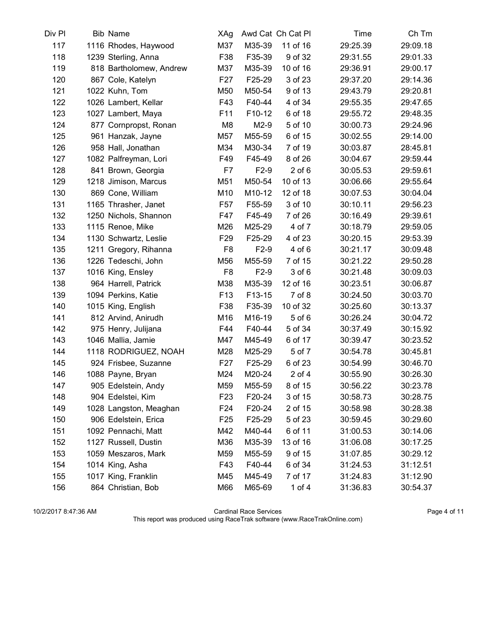| Div Pl | <b>Bib Name</b>         | XAg             |        | Awd Cat Ch Cat Pl | Time     | Ch Tm    |
|--------|-------------------------|-----------------|--------|-------------------|----------|----------|
| 117    | 1116 Rhodes, Haywood    | M37             | M35-39 | 11 of 16          | 29:25.39 | 29:09.18 |
| 118    | 1239 Sterling, Anna     | F38             | F35-39 | 9 of 32           | 29:31.55 | 29:01.33 |
| 119    | 818 Bartholomew, Andrew | M37             | M35-39 | 10 of 16          | 29:36.91 | 29:00.17 |
| 120    | 867 Cole, Katelyn       | F <sub>27</sub> | F25-29 | 3 of 23           | 29:37.20 | 29:14.36 |
| 121    | 1022 Kuhn, Tom          | M50             | M50-54 | 9 of 13           | 29:43.79 | 29:20.81 |
| 122    | 1026 Lambert, Kellar    | F43             | F40-44 | 4 of 34           | 29:55.35 | 29:47.65 |
| 123    | 1027 Lambert, Maya      | F11             | F10-12 | 6 of 18           | 29:55.72 | 29:48.35 |
| 124    | 877 Cornpropst, Ronan   | M <sub>8</sub>  | $M2-9$ | 5 of 10           | 30:00.73 | 29:24.96 |
| 125    | 961 Hanzak, Jayne       | M57             | M55-59 | 6 of 15           | 30:02.55 | 29:14.00 |
| 126    | 958 Hall, Jonathan      | M34             | M30-34 | 7 of 19           | 30:03.87 | 28:45.81 |
| 127    | 1082 Palfreyman, Lori   | F49             | F45-49 | 8 of 26           | 30:04.67 | 29:59.44 |
| 128    | 841 Brown, Georgia      | F7              | $F2-9$ | $2$ of $6$        | 30:05.53 | 29:59.61 |
| 129    | 1218 Jimison, Marcus    | M51             | M50-54 | 10 of 13          | 30:06.66 | 29:55.64 |
| 130    | 869 Cone, William       | M10             | M10-12 | 12 of 18          | 30:07.53 | 30:04.04 |
| 131    | 1165 Thrasher, Janet    | F <sub>57</sub> | F55-59 | 3 of 10           | 30:10.11 | 29:56.23 |
| 132    | 1250 Nichols, Shannon   | F47             | F45-49 | 7 of 26           | 30:16.49 | 29:39.61 |
| 133    | 1115 Renoe, Mike        | M26             | M25-29 | 4 of 7            | 30:18.79 | 29:59.05 |
| 134    | 1130 Schwartz, Leslie   | F <sub>29</sub> | F25-29 | 4 of 23           | 30:20.15 | 29:53.39 |
| 135    | 1211 Gregory, Rihanna   | F <sub>8</sub>  | $F2-9$ | 4 of 6            | 30:21.17 | 30:09.48 |
| 136    | 1226 Tedeschi, John     | M56             | M55-59 | 7 of 15           | 30:21.22 | 29:50.28 |
| 137    | 1016 King, Ensley       | F <sub>8</sub>  | $F2-9$ | 3 of 6            | 30:21.48 | 30:09.03 |
| 138    | 964 Harrell, Patrick    | M38             | M35-39 | 12 of 16          | 30:23.51 | 30:06.87 |
| 139    | 1094 Perkins, Katie     | F <sub>13</sub> | F13-15 | 7 of 8            | 30:24.50 | 30:03.70 |
| 140    | 1015 King, English      | F38             | F35-39 | 10 of 32          | 30:25.60 | 30:13.37 |
| 141    | 812 Arvind, Anirudh     | M16             | M16-19 | 5 of 6            | 30:26.24 | 30:04.72 |
| 142    | 975 Henry, Julijana     | F44             | F40-44 | 5 of 34           | 30:37.49 | 30:15.92 |
| 143    | 1046 Mallia, Jamie      | M47             | M45-49 | 6 of 17           | 30:39.47 | 30:23.52 |
| 144    | 1118 RODRIGUEZ, NOAH    | M28             | M25-29 | 5 of 7            | 30:54.78 | 30:45.81 |
| 145    | 924 Frisbee, Suzanne    | F <sub>27</sub> | F25-29 | 6 of 23           | 30:54.99 | 30:46.70 |
| 146    | 1088 Payne, Bryan       | M24             | M20-24 | $2$ of $4$        | 30:55.90 | 30:26.30 |
| 147    | 905 Edelstein, Andy     | M59             | M55-59 | 8 of 15           | 30:56.22 | 30:23.78 |
| 148    | 904 Edelstei, Kim       | F <sub>23</sub> | F20-24 | 3 of 15           | 30:58.73 | 30:28.75 |
| 149    | 1028 Langston, Meaghan  | F24             | F20-24 | 2 of 15           | 30:58.98 | 30:28.38 |
| 150    | 906 Edelstein, Erica    | F <sub>25</sub> | F25-29 | 5 of 23           | 30:59.45 | 30:29.60 |
| 151    | 1092 Pennachi, Matt     | M42             | M40-44 | 6 of 11           | 31:00.53 | 30:14.06 |
| 152    | 1127 Russell, Dustin    | M36             | M35-39 | 13 of 16          | 31:06.08 | 30:17.25 |
| 153    | 1059 Meszaros, Mark     | M59             | M55-59 | 9 of 15           | 31:07.85 | 30:29.12 |
| 154    | 1014 King, Asha         | F43             | F40-44 | 6 of 34           | 31:24.53 | 31:12.51 |
| 155    | 1017 King, Franklin     | M45             | M45-49 | 7 of 17           | 31:24.83 | 31:12.90 |
| 156    | 864 Christian, Bob      | M66             | M65-69 | 1 of $4$          | 31:36.83 | 30:54.37 |

10/2/2017 8:47:36 AM Cardinal Race Services Page 4 of 11 This report was produced using RaceTrak software (www.RaceTrakOnline.com)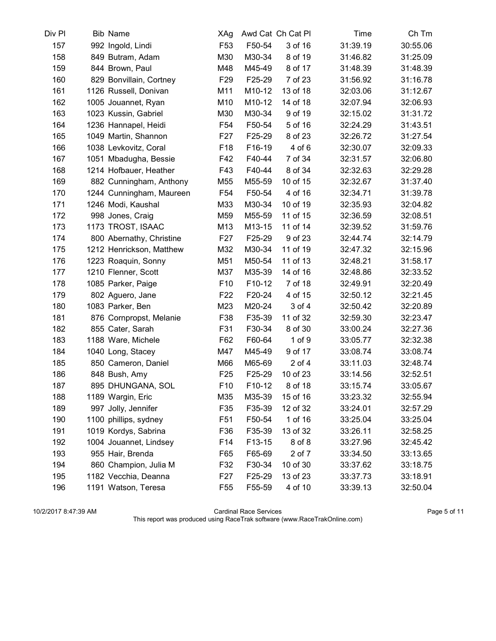| Div Pl | <b>Bib Name</b>          | XAg             |        | Awd Cat Ch Cat Pl | Time     | Ch Tm    |
|--------|--------------------------|-----------------|--------|-------------------|----------|----------|
| 157    | 992 Ingold, Lindi        | F <sub>53</sub> | F50-54 | 3 of 16           | 31:39.19 | 30:55.06 |
| 158    | 849 Butram, Adam         | M30             | M30-34 | 8 of 19           | 31:46.82 | 31:25.09 |
| 159    | 844 Brown, Paul          | M48             | M45-49 | 8 of 17           | 31:48.39 | 31:48.39 |
| 160    | 829 Bonvillain, Cortney  | F <sub>29</sub> | F25-29 | 7 of 23           | 31:56.92 | 31:16.78 |
| 161    | 1126 Russell, Donivan    | M11             | M10-12 | 13 of 18          | 32:03.06 | 31:12.67 |
| 162    | 1005 Jouannet, Ryan      | M10             | M10-12 | 14 of 18          | 32:07.94 | 32:06.93 |
| 163    | 1023 Kussin, Gabriel     | M30             | M30-34 | 9 of 19           | 32:15.02 | 31:31.72 |
| 164    | 1236 Hannapel, Heidi     | F <sub>54</sub> | F50-54 | 5 of 16           | 32:24.29 | 31:43.51 |
| 165    | 1049 Martin, Shannon     | F <sub>27</sub> | F25-29 | 8 of 23           | 32:26.72 | 31:27.54 |
| 166    | 1038 Levkovitz, Coral    | F <sub>18</sub> | F16-19 | 4 of 6            | 32:30.07 | 32:09.33 |
| 167    | 1051 Mbadugha, Bessie    | F42             | F40-44 | 7 of 34           | 32:31.57 | 32:06.80 |
| 168    | 1214 Hofbauer, Heather   | F43             | F40-44 | 8 of 34           | 32:32.63 | 32:29.28 |
| 169    | 882 Cunningham, Anthony  | M55             | M55-59 | 10 of 15          | 32:32.67 | 31:37.40 |
| 170    | 1244 Cunningham, Maureen | F <sub>54</sub> | F50-54 | 4 of 16           | 32:34.71 | 31:39.78 |
| 171    | 1246 Modi, Kaushal       | M33             | M30-34 | 10 of 19          | 32:35.93 | 32:04.82 |
| 172    | 998 Jones, Craig         | M59             | M55-59 | 11 of 15          | 32:36.59 | 32:08.51 |
| 173    | 1173 TROST, ISAAC        | M13             | M13-15 | 11 of 14          | 32:39.52 | 31:59.76 |
| 174    | 800 Abernathy, Christine | F <sub>27</sub> | F25-29 | 9 of 23           | 32:44.74 | 32:14.79 |
| 175    | 1212 Henrickson, Matthew | M32             | M30-34 | 11 of 19          | 32:47.32 | 32:15.96 |
| 176    | 1223 Roaquin, Sonny      | M51             | M50-54 | 11 of 13          | 32:48.21 | 31:58.17 |
| 177    | 1210 Flenner, Scott      | M37             | M35-39 | 14 of 16          | 32:48.86 | 32:33.52 |
| 178    | 1085 Parker, Paige       | F <sub>10</sub> | F10-12 | 7 of 18           | 32:49.91 | 32:20.49 |
| 179    | 802 Aguero, Jane         | F <sub>22</sub> | F20-24 | 4 of 15           | 32:50.12 | 32:21.45 |
| 180    | 1083 Parker, Ben         | M23             | M20-24 | 3 of 4            | 32:50.42 | 32:20.89 |
| 181    | 876 Cornpropst, Melanie  | F38             | F35-39 | 11 of 32          | 32:59.30 | 32:23.47 |
| 182    | 855 Cater, Sarah         | F31             | F30-34 | 8 of 30           | 33:00.24 | 32:27.36 |
| 183    | 1188 Ware, Michele       | F62             | F60-64 | $1$ of $9$        | 33:05.77 | 32:32.38 |
| 184    | 1040 Long, Stacey        | M47             | M45-49 | 9 of 17           | 33:08.74 | 33:08.74 |
| 185    | 850 Cameron, Daniel      | M66             | M65-69 | $2$ of $4$        | 33:11.03 | 32:48.74 |
| 186    | 848 Bush, Amy            | F <sub>25</sub> | F25-29 | 10 of 23          | 33:14.56 | 32:52.51 |
| 187    | 895 DHUNGANA, SOL        | F <sub>10</sub> | F10-12 | 8 of 18           | 33:15.74 | 33:05.67 |
| 188    | 1189 Wargin, Eric        | M35             | M35-39 | 15 of 16          | 33:23.32 | 32:55.94 |
| 189    | 997 Jolly, Jennifer      | F35             | F35-39 | 12 of 32          | 33:24.01 | 32:57.29 |
| 190    | 1100 phillips, sydney    | F <sub>51</sub> | F50-54 | 1 of 16           | 33:25.04 | 33:25.04 |
| 191    | 1019 Kordys, Sabrina     | F36             | F35-39 | 13 of 32          | 33:26.11 | 32:58.25 |
| 192    | 1004 Jouannet, Lindsey   | F14             | F13-15 | 8 of 8            | 33:27.96 | 32:45.42 |
| 193    | 955 Hair, Brenda         | F65             | F65-69 | 2 of 7            | 33:34.50 | 33:13.65 |
| 194    | 860 Champion, Julia M    | F32             | F30-34 | 10 of 30          | 33:37.62 | 33:18.75 |
| 195    | 1182 Vecchia, Deanna     | F <sub>27</sub> | F25-29 | 13 of 23          | 33:37.73 | 33:18.91 |
| 196    | 1191 Watson, Teresa      | F <sub>55</sub> | F55-59 | 4 of 10           | 33:39.13 | 32:50.04 |

10/2/2017 8:47:39 AM Cardinal Race Services Page 5 of 11 This report was produced using RaceTrak software (www.RaceTrakOnline.com)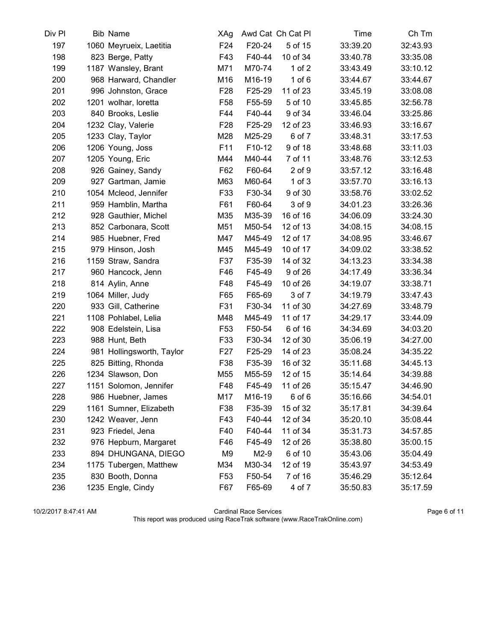| Div Pl | <b>Bib Name</b>           | XAg             |        | Awd Cat Ch Cat Pl | Time     | Ch Tm    |
|--------|---------------------------|-----------------|--------|-------------------|----------|----------|
| 197    | 1060 Meyrueix, Laetitia   | F24             | F20-24 | 5 of 15           | 33:39.20 | 32:43.93 |
| 198    | 823 Berge, Patty          | F43             | F40-44 | 10 of 34          | 33:40.78 | 33:35.08 |
| 199    | 1187 Wansley, Brant       | M71             | M70-74 | $1$ of $2$        | 33:43.49 | 33:10.12 |
| 200    | 968 Harward, Chandler     | M16             | M16-19 | $1$ of $6$        | 33:44.67 | 33:44.67 |
| 201    | 996 Johnston, Grace       | F <sub>28</sub> | F25-29 | 11 of 23          | 33:45.19 | 33:08.08 |
| 202    | 1201 wolhar, loretta      | F <sub>58</sub> | F55-59 | 5 of 10           | 33:45.85 | 32:56.78 |
| 203    | 840 Brooks, Leslie        | F44             | F40-44 | 9 of 34           | 33:46.04 | 33:25.86 |
| 204    | 1232 Clay, Valerie        | F <sub>28</sub> | F25-29 | 12 of 23          | 33:46.93 | 33:16.67 |
| 205    | 1233 Clay, Taylor         | M28             | M25-29 | 6 of 7            | 33:48.31 | 33:17.53 |
| 206    | 1206 Young, Joss          | F11             | F10-12 | 9 of 18           | 33:48.68 | 33:11.03 |
| 207    | 1205 Young, Eric          | M44             | M40-44 | 7 of 11           | 33:48.76 | 33:12.53 |
| 208    | 926 Gainey, Sandy         | F62             | F60-64 | $2$ of $9$        | 33:57.12 | 33:16.48 |
| 209    | 927 Gartman, Jamie        | M63             | M60-64 | $1$ of $3$        | 33:57.70 | 33:16.13 |
| 210    | 1054 Mcleod, Jennifer     | F33             | F30-34 | 9 of 30           | 33:58.76 | 33:02.52 |
| 211    | 959 Hamblin, Martha       | F61             | F60-64 | 3 of 9            | 34:01.23 | 33:26.36 |
| 212    | 928 Gauthier, Michel      | M35             | M35-39 | 16 of 16          | 34:06.09 | 33:24.30 |
| 213    | 852 Carbonara, Scott      | M51             | M50-54 | 12 of 13          | 34:08.15 | 34:08.15 |
| 214    | 985 Huebner, Fred         | M47             | M45-49 | 12 of 17          | 34:08.95 | 33:46.67 |
| 215    | 979 Hinson, Josh          | M45             | M45-49 | 10 of 17          | 34:09.02 | 33:38.52 |
| 216    | 1159 Straw, Sandra        | F37             | F35-39 | 14 of 32          | 34:13.23 | 33:34.38 |
| 217    | 960 Hancock, Jenn         | F46             | F45-49 | 9 of 26           | 34:17.49 | 33:36.34 |
| 218    | 814 Aylin, Anne           | F48             | F45-49 | 10 of 26          | 34:19.07 | 33:38.71 |
| 219    | 1064 Miller, Judy         | F65             | F65-69 | 3 of 7            | 34:19.79 | 33:47.43 |
| 220    | 933 Gill, Catherine       | F31             | F30-34 | 11 of 30          | 34:27.69 | 33:48.79 |
| 221    | 1108 Pohlabel, Lelia      | M48             | M45-49 | 11 of 17          | 34:29.17 | 33:44.09 |
| 222    | 908 Edelstein, Lisa       | F <sub>53</sub> | F50-54 | 6 of 16           | 34:34.69 | 34:03.20 |
| 223    | 988 Hunt, Beth            | F33             | F30-34 | 12 of 30          | 35:06.19 | 34:27.00 |
| 224    | 981 Hollingsworth, Taylor | F <sub>27</sub> | F25-29 | 14 of 23          | 35:08.24 | 34:35.22 |
| 225    | 825 Bitting, Rhonda       | F38             | F35-39 | 16 of 32          | 35:11.68 | 34:45.13 |
| 226    | 1234 Slawson, Don         | M55             | M55-59 | 12 of 15          | 35:14.64 | 34:39.88 |
| 227    | 1151 Solomon, Jennifer    | F48             | F45-49 | 11 of 26          | 35:15.47 | 34:46.90 |
| 228    | 986 Huebner, James        | M17             | M16-19 | 6 of 6            | 35:16.66 | 34:54.01 |
| 229    | 1161 Sumner, Elizabeth    | F38             | F35-39 | 15 of 32          | 35:17.81 | 34:39.64 |
| 230    | 1242 Weaver, Jenn         | F43             | F40-44 | 12 of 34          | 35:20.10 | 35:08.44 |
| 231    | 923 Friedel, Jena         | F40             | F40-44 | 11 of 34          | 35:31.73 | 34:57.85 |
| 232    | 976 Hepburn, Margaret     | F46             | F45-49 | 12 of 26          | 35:38.80 | 35:00.15 |
| 233    | 894 DHUNGANA, DIEGO       | M9              | $M2-9$ | 6 of 10           | 35:43.06 | 35:04.49 |
| 234    | 1175 Tubergen, Matthew    | M34             | M30-34 | 12 of 19          | 35:43.97 | 34:53.49 |
| 235    | 830 Booth, Donna          | F <sub>53</sub> | F50-54 | 7 of 16           | 35:46.29 | 35:12.64 |
| 236    | 1235 Engle, Cindy         | F67             | F65-69 | 4 of 7            | 35:50.83 | 35:17.59 |

10/2/2017 8:47:41 AM Cardinal Race Services Page 6 of 11 This report was produced using RaceTrak software (www.RaceTrakOnline.com)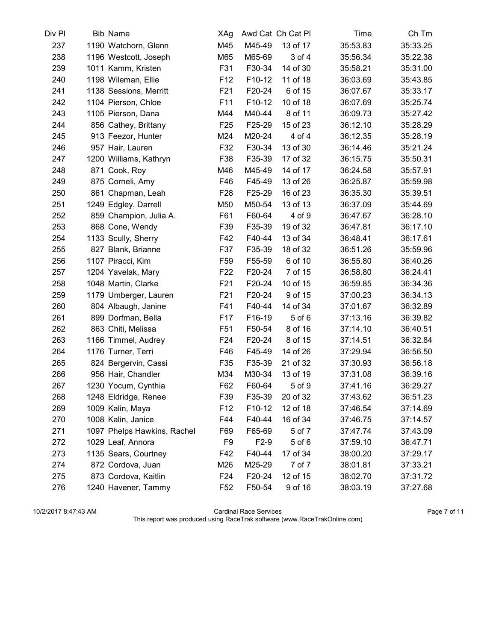| Div Pl | <b>Bib Name</b>             | XAg             |        | Awd Cat Ch Cat Pl | Time     | Ch Tm    |
|--------|-----------------------------|-----------------|--------|-------------------|----------|----------|
| 237    | 1190 Watchorn, Glenn        | M45             | M45-49 | 13 of 17          | 35:53.83 | 35:33.25 |
| 238    | 1196 Westcott, Joseph       | M65             | M65-69 | 3 of 4            | 35:56.34 | 35:22.38 |
| 239    | 1011 Kamm, Kristen          | F31             | F30-34 | 14 of 30          | 35:58.21 | 35:31.00 |
| 240    | 1198 Wileman, Ellie         | F <sub>12</sub> | F10-12 | 11 of 18          | 36:03.69 | 35:43.85 |
| 241    | 1138 Sessions, Merritt      | F <sub>21</sub> | F20-24 | 6 of 15           | 36:07.67 | 35:33.17 |
| 242    | 1104 Pierson, Chloe         | F11             | F10-12 | 10 of 18          | 36:07.69 | 35:25.74 |
| 243    | 1105 Pierson, Dana          | M44             | M40-44 | 8 of 11           | 36:09.73 | 35:27.42 |
| 244    | 856 Cathey, Brittany        | F <sub>25</sub> | F25-29 | 15 of 23          | 36:12.10 | 35:28.29 |
| 245    | 913 Feezor, Hunter          | M24             | M20-24 | 4 of 4            | 36:12.35 | 35:28.19 |
| 246    | 957 Hair, Lauren            | F32             | F30-34 | 13 of 30          | 36:14.46 | 35:21.24 |
| 247    | 1200 Williams, Kathryn      | F38             | F35-39 | 17 of 32          | 36:15.75 | 35:50.31 |
| 248    | 871 Cook, Roy               | M46             | M45-49 | 14 of 17          | 36:24.58 | 35:57.91 |
| 249    | 875 Corneli, Amy            | F46             | F45-49 | 13 of 26          | 36:25.87 | 35:59.98 |
| 250    | 861 Chapman, Leah           | F <sub>28</sub> | F25-29 | 16 of 23          | 36:35.30 | 35:39.51 |
| 251    | 1249 Edgley, Darrell        | M50             | M50-54 | 13 of 13          | 36:37.09 | 35:44.69 |
| 252    | 859 Champion, Julia A.      | F61             | F60-64 | 4 of 9            | 36:47.67 | 36:28.10 |
| 253    | 868 Cone, Wendy             | F39             | F35-39 | 19 of 32          | 36:47.81 | 36:17.10 |
| 254    | 1133 Scully, Sherry         | F42             | F40-44 | 13 of 34          | 36:48.41 | 36:17.61 |
| 255    | 827 Blank, Brianne          | F37             | F35-39 | 18 of 32          | 36:51.26 | 35:59.96 |
| 256    | 1107 Piracci, Kim           | F <sub>59</sub> | F55-59 | 6 of 10           | 36:55.80 | 36:40.26 |
| 257    | 1204 Yavelak, Mary          | F <sub>22</sub> | F20-24 | 7 of 15           | 36:58.80 | 36:24.41 |
| 258    | 1048 Martin, Clarke         | F21             | F20-24 | 10 of 15          | 36:59.85 | 36:34.36 |
| 259    | 1179 Umberger, Lauren       | F <sub>21</sub> | F20-24 | 9 of 15           | 37:00.23 | 36:34.13 |
| 260    | 804 Albaugh, Janine         | F41             | F40-44 | 14 of 34          | 37:01.67 | 36:32.89 |
| 261    | 899 Dorfman, Bella          | F <sub>17</sub> | F16-19 | 5 of 6            | 37:13.16 | 36:39.82 |
| 262    | 863 Chiti, Melissa          | F <sub>51</sub> | F50-54 | 8 of 16           | 37:14.10 | 36:40.51 |
| 263    | 1166 Timmel, Audrey         | F <sub>24</sub> | F20-24 | 8 of 15           | 37:14.51 | 36:32.84 |
| 264    | 1176 Turner, Terri          | F46             | F45-49 | 14 of 26          | 37:29.94 | 36:56.50 |
| 265    | 824 Bergervin, Cassi        | F35             | F35-39 | 21 of 32          | 37:30.93 | 36:56.18 |
| 266    | 956 Hair, Chandler          | M34             | M30-34 | 13 of 19          | 37:31.08 | 36:39.16 |
| 267    | 1230 Yocum, Cynthia         | F62             | F60-64 | 5 of 9            | 37:41.16 | 36:29.27 |
| 268    | 1248 Eldridge, Renee        | F39             | F35-39 | 20 of 32          | 37:43.62 | 36:51.23 |
| 269    | 1009 Kalin, Maya            | F <sub>12</sub> | F10-12 | 12 of 18          | 37:46.54 | 37:14.69 |
| 270    | 1008 Kalin, Janice          | F44             | F40-44 | 16 of 34          | 37:46.75 | 37:14.57 |
| 271    | 1097 Phelps Hawkins, Rachel | F69             | F65-69 | 5 of 7            | 37:47.74 | 37:43.09 |
| 272    | 1029 Leaf, Annora           | F9              | $F2-9$ | $5$ of $6$        | 37:59.10 | 36:47.71 |
| 273    | 1135 Sears, Courtney        | F42             | F40-44 | 17 of 34          | 38:00.20 | 37:29.17 |
| 274    | 872 Cordova, Juan           | M26             | M25-29 | 7 of 7            | 38:01.81 | 37:33.21 |
| 275    | 873 Cordova, Kaitlin        | F <sub>24</sub> | F20-24 | 12 of 15          | 38:02.70 | 37:31.72 |
| 276    | 1240 Havener, Tammy         | F <sub>52</sub> | F50-54 | 9 of 16           | 38:03.19 | 37:27.68 |

10/2/2017 8:47:43 AM Cardinal Race Services Page 7 of 11 This report was produced using RaceTrak software (www.RaceTrakOnline.com)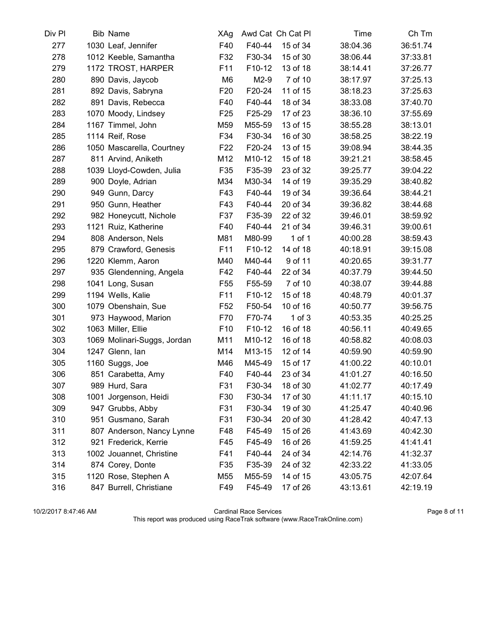| Div Pl | <b>Bib Name</b>             | XAg             |        | Awd Cat Ch Cat Pl | Time     | Ch Tm    |
|--------|-----------------------------|-----------------|--------|-------------------|----------|----------|
| 277    | 1030 Leaf, Jennifer         | F40             | F40-44 | 15 of 34          | 38:04.36 | 36:51.74 |
| 278    | 1012 Keeble, Samantha       | F32             | F30-34 | 15 of 30          | 38:06.44 | 37:33.81 |
| 279    | 1172 TROST, HARPER          | F <sub>11</sub> | F10-12 | 13 of 18          | 38:14.41 | 37:26.77 |
| 280    | 890 Davis, Jaycob           | M <sub>6</sub>  | $M2-9$ | 7 of 10           | 38:17.97 | 37:25.13 |
| 281    | 892 Davis, Sabryna          | F <sub>20</sub> | F20-24 | 11 of 15          | 38:18.23 | 37:25.63 |
| 282    | 891 Davis, Rebecca          | F40             | F40-44 | 18 of 34          | 38:33.08 | 37:40.70 |
| 283    | 1070 Moody, Lindsey         | F25             | F25-29 | 17 of 23          | 38:36.10 | 37:55.69 |
| 284    | 1167 Timmel, John           | M59             | M55-59 | 13 of 15          | 38:55.28 | 38:13.01 |
| 285    | 1114 Reif, Rose             | F34             | F30-34 | 16 of 30          | 38:58.25 | 38:22.19 |
| 286    | 1050 Mascarella, Courtney   | F <sub>22</sub> | F20-24 | 13 of 15          | 39:08.94 | 38:44.35 |
| 287    | 811 Arvind, Aniketh         | M12             | M10-12 | 15 of 18          | 39:21.21 | 38:58.45 |
| 288    | 1039 Lloyd-Cowden, Julia    | F35             | F35-39 | 23 of 32          | 39:25.77 | 39:04.22 |
| 289    | 900 Doyle, Adrian           | M34             | M30-34 | 14 of 19          | 39:35.29 | 38:40.82 |
| 290    | 949 Gunn, Darcy             | F43             | F40-44 | 19 of 34          | 39:36.64 | 38:44.21 |
| 291    | 950 Gunn, Heather           | F43             | F40-44 | 20 of 34          | 39:36.82 | 38:44.68 |
| 292    | 982 Honeycutt, Nichole      | F37             | F35-39 | 22 of 32          | 39:46.01 | 38:59.92 |
| 293    | 1121 Ruiz, Katherine        | F40             | F40-44 | 21 of 34          | 39:46.31 | 39:00.61 |
| 294    | 808 Anderson, Nels          | M81             | M80-99 | $1$ of $1$        | 40:00.28 | 38:59.43 |
| 295    | 879 Crawford, Genesis       | F11             | F10-12 | 14 of 18          | 40:18.91 | 39:15.08 |
| 296    | 1220 Klemm, Aaron           | M40             | M40-44 | 9 of 11           | 40:20.65 | 39:31.77 |
| 297    | 935 Glendenning, Angela     | F42             | F40-44 | 22 of 34          | 40:37.79 | 39:44.50 |
| 298    | 1041 Long, Susan            | F <sub>55</sub> | F55-59 | 7 of 10           | 40:38.07 | 39:44.88 |
| 299    | 1194 Wells, Kalie           | F11             | F10-12 | 15 of 18          | 40:48.79 | 40:01.37 |
| 300    | 1079 Obenshain, Sue         | F <sub>52</sub> | F50-54 | 10 of 16          | 40:50.77 | 39:56.75 |
| 301    | 973 Haywood, Marion         | F70             | F70-74 | $1$ of $3$        | 40:53.35 | 40:25.25 |
| 302    | 1063 Miller, Ellie          | F <sub>10</sub> | F10-12 | 16 of 18          | 40:56.11 | 40:49.65 |
| 303    | 1069 Molinari-Suggs, Jordan | M11             | M10-12 | 16 of 18          | 40:58.82 | 40:08.03 |
| 304    | 1247 Glenn, lan             | M14             | M13-15 | 12 of 14          | 40:59.90 | 40:59.90 |
| 305    | 1160 Suggs, Joe             | M46             | M45-49 | 15 of 17          | 41:00.22 | 40:10.01 |
| 306    | 851 Carabetta, Amy          | F40             | F40-44 | 23 of 34          | 41:01.27 | 40:16.50 |
| 307    | 989 Hurd, Sara              | F31             | F30-34 | 18 of 30          | 41:02.77 | 40:17.49 |
| 308    | 1001 Jorgenson, Heidi       | F30             | F30-34 | 17 of 30          | 41:11.17 | 40:15.10 |
| 309    | 947 Grubbs, Abby            | F31             | F30-34 | 19 of 30          | 41:25.47 | 40:40.96 |
| 310    | 951 Gusmano, Sarah          | F31             | F30-34 | 20 of 30          | 41:28.42 | 40:47.13 |
| 311    | 807 Anderson, Nancy Lynne   | F48             | F45-49 | 15 of 26          | 41:43.69 | 40:42.30 |
| 312    | 921 Frederick, Kerrie       | F45             | F45-49 | 16 of 26          | 41:59.25 | 41:41.41 |
| 313    | 1002 Jouannet, Christine    | F41             | F40-44 | 24 of 34          | 42:14.76 | 41:32.37 |
| 314    | 874 Corey, Donte            | F35             | F35-39 | 24 of 32          | 42:33.22 | 41:33.05 |
| 315    | 1120 Rose, Stephen A        | M55             | M55-59 | 14 of 15          | 43:05.75 | 42:07.64 |
| 316    | 847 Burrell, Christiane     | F49             | F45-49 | 17 of 26          | 43:13.61 | 42:19.19 |

10/2/2017 8:47:46 AM Cardinal Race Services Page 8 of 11 This report was produced using RaceTrak software (www.RaceTrakOnline.com)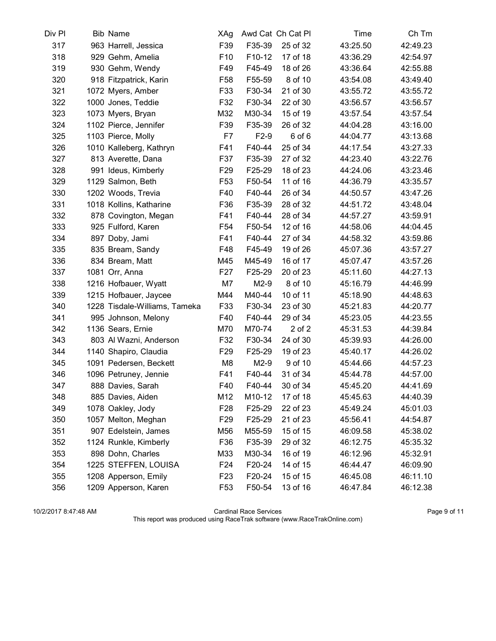| Div Pl | <b>Bib Name</b>               | XAg             |        | Awd Cat Ch Cat Pl | Time     | Ch Tm    |
|--------|-------------------------------|-----------------|--------|-------------------|----------|----------|
| 317    | 963 Harrell, Jessica          | F39             | F35-39 | 25 of 32          | 43:25.50 | 42:49.23 |
| 318    | 929 Gehm, Amelia              | F <sub>10</sub> | F10-12 | 17 of 18          | 43:36.29 | 42:54.97 |
| 319    | 930 Gehm, Wendy               | F49             | F45-49 | 18 of 26          | 43:36.64 | 42:55.88 |
| 320    | 918 Fitzpatrick, Karin        | F <sub>58</sub> | F55-59 | 8 of 10           | 43:54.08 | 43:49.40 |
| 321    | 1072 Myers, Amber             | F33             | F30-34 | 21 of 30          | 43:55.72 | 43:55.72 |
| 322    | 1000 Jones, Teddie            | F32             | F30-34 | 22 of 30          | 43:56.57 | 43:56.57 |
| 323    | 1073 Myers, Bryan             | M32             | M30-34 | 15 of 19          | 43:57.54 | 43:57.54 |
| 324    | 1102 Pierce, Jennifer         | F39             | F35-39 | 26 of 32          | 44:04.28 | 43:16.00 |
| 325    | 1103 Pierce, Molly            | F7              | $F2-9$ | 6 of 6            | 44:04.77 | 43:13.68 |
| 326    | 1010 Kalleberg, Kathryn       | F41             | F40-44 | 25 of 34          | 44:17.54 | 43:27.33 |
| 327    | 813 Averette, Dana            | F37             | F35-39 | 27 of 32          | 44:23.40 | 43:22.76 |
| 328    | 991 Ideus, Kimberly           | F <sub>29</sub> | F25-29 | 18 of 23          | 44:24.06 | 43:23.46 |
| 329    | 1129 Salmon, Beth             | F <sub>53</sub> | F50-54 | 11 of 16          | 44:36.79 | 43:35.57 |
| 330    | 1202 Woods, Trevia            | F40             | F40-44 | 26 of 34          | 44:50.57 | 43:47.26 |
| 331    | 1018 Kollins, Katharine       | F36             | F35-39 | 28 of 32          | 44:51.72 | 43:48.04 |
| 332    | 878 Covington, Megan          | F41             | F40-44 | 28 of 34          | 44:57.27 | 43:59.91 |
| 333    | 925 Fulford, Karen            | F <sub>54</sub> | F50-54 | 12 of 16          | 44:58.06 | 44:04.45 |
| 334    | 897 Doby, Jami                | F41             | F40-44 | 27 of 34          | 44:58.32 | 43:59.86 |
| 335    | 835 Bream, Sandy              | F48             | F45-49 | 19 of 26          | 45:07.36 | 43:57.27 |
| 336    | 834 Bream, Matt               | M45             | M45-49 | 16 of 17          | 45:07.47 | 43:57.26 |
| 337    | 1081 Orr, Anna                | F <sub>27</sub> | F25-29 | 20 of 23          | 45:11.60 | 44:27.13 |
| 338    | 1216 Hofbauer, Wyatt          | M7              | $M2-9$ | 8 of 10           | 45:16.79 | 44:46.99 |
| 339    | 1215 Hofbauer, Jaycee         | M44             | M40-44 | 10 of 11          | 45:18.90 | 44:48.63 |
| 340    | 1228 Tisdale-Williams, Tameka | F33             | F30-34 | 23 of 30          | 45:21.83 | 44:20.77 |
| 341    | 995 Johnson, Melony           | F40             | F40-44 | 29 of 34          | 45:23.05 | 44:23.55 |
| 342    | 1136 Sears, Ernie             | M70             | M70-74 | 2 of 2            | 45:31.53 | 44:39.84 |
| 343    | 803 Al Wazni, Anderson        | F32             | F30-34 | 24 of 30          | 45:39.93 | 44:26.00 |
| 344    | 1140 Shapiro, Claudia         | F <sub>29</sub> | F25-29 | 19 of 23          | 45:40.17 | 44:26.02 |
| 345    | 1091 Pedersen, Beckett        | M <sub>8</sub>  | $M2-9$ | 9 of 10           | 45:44.66 | 44:57.23 |
| 346    | 1096 Petruney, Jennie         | F41             | F40-44 | 31 of 34          | 45:44.78 | 44:57.00 |
| 347    | 888 Davies, Sarah             | F40             | F40-44 | 30 of 34          | 45:45.20 | 44:41.69 |
| 348    | 885 Davies, Aiden             | M12             | M10-12 | 17 of 18          | 45:45.63 | 44:40.39 |
| 349    | 1078 Oakley, Jody             | F <sub>28</sub> | F25-29 | 22 of 23          | 45:49.24 | 45:01.03 |
| 350    | 1057 Melton, Meghan           | F <sub>29</sub> | F25-29 | 21 of 23          | 45:56.41 | 44:54.87 |
| 351    | 907 Edelstein, James          | M56             | M55-59 | 15 of 15          | 46:09.58 | 45:38.02 |
| 352    | 1124 Runkle, Kimberly         | F36             | F35-39 | 29 of 32          | 46:12.75 | 45:35.32 |
| 353    | 898 Dohn, Charles             | M33             | M30-34 | 16 of 19          | 46:12.96 | 45:32.91 |
| 354    | 1225 STEFFEN, LOUISA          | F24             | F20-24 | 14 of 15          | 46:44.47 | 46:09.90 |
| 355    | 1208 Apperson, Emily          | F <sub>23</sub> | F20-24 | 15 of 15          | 46:45.08 | 46:11.10 |
| 356    | 1209 Apperson, Karen          | F <sub>53</sub> | F50-54 | 13 of 16          | 46:47.84 | 46:12.38 |

10/2/2017 8:47:48 AM Cardinal Race Services Page 9 of 11 This report was produced using RaceTrak software (www.RaceTrakOnline.com)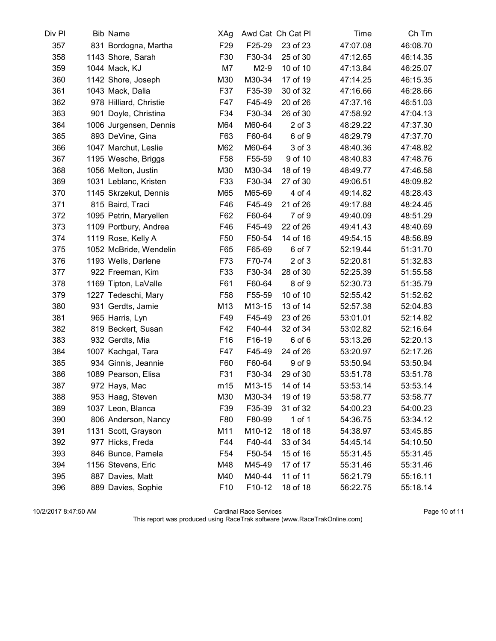| Div Pl | <b>Bib Name</b>        | XAg             |        | Awd Cat Ch Cat Pl | Time     | Ch Tm    |
|--------|------------------------|-----------------|--------|-------------------|----------|----------|
| 357    | 831 Bordogna, Martha   | F <sub>29</sub> | F25-29 | 23 of 23          | 47:07.08 | 46:08.70 |
| 358    | 1143 Shore, Sarah      | F30             | F30-34 | 25 of 30          | 47:12.65 | 46:14.35 |
| 359    | 1044 Mack, KJ          | M7              | $M2-9$ | 10 of 10          | 47:13.84 | 46:25.07 |
| 360    | 1142 Shore, Joseph     | M30             | M30-34 | 17 of 19          | 47:14.25 | 46:15.35 |
| 361    | 1043 Mack, Dalia       | F37             | F35-39 | 30 of 32          | 47:16.66 | 46:28.66 |
| 362    | 978 Hilliard, Christie | F47             | F45-49 | 20 of 26          | 47:37.16 | 46:51.03 |
| 363    | 901 Doyle, Christina   | F34             | F30-34 | 26 of 30          | 47:58.92 | 47:04.13 |
| 364    | 1006 Jurgensen, Dennis | M64             | M60-64 | $2$ of $3$        | 48:29.22 | 47:37.30 |
| 365    | 893 DeVine, Gina       | F63             | F60-64 | 6 of 9            | 48:29.79 | 47:37.70 |
| 366    | 1047 Marchut, Leslie   | M62             | M60-64 | 3 of 3            | 48:40.36 | 47:48.82 |
| 367    | 1195 Wesche, Briggs    | F <sub>58</sub> | F55-59 | 9 of 10           | 48:40.83 | 47:48.76 |
| 368    | 1056 Melton, Justin    | M30             | M30-34 | 18 of 19          | 48:49.77 | 47:46.58 |
| 369    | 1031 Leblanc, Kristen  | F33             | F30-34 | 27 of 30          | 49:06.51 | 48:09.82 |
| 370    | 1145 Skrzekut, Dennis  | M65             | M65-69 | 4 of 4            | 49:14.82 | 48:28.43 |
| 371    | 815 Baird, Traci       | F46             | F45-49 | 21 of 26          | 49:17.88 | 48:24.45 |
| 372    | 1095 Petrin, Maryellen | F62             | F60-64 | 7 of 9            | 49:40.09 | 48:51.29 |
| 373    | 1109 Portbury, Andrea  | F46             | F45-49 | 22 of 26          | 49:41.43 | 48:40.69 |
| 374    | 1119 Rose, Kelly A     | F <sub>50</sub> | F50-54 | 14 of 16          | 49:54.15 | 48:56.89 |
| 375    | 1052 McBride, Wendelin | F65             | F65-69 | 6 of 7            | 52:19.44 | 51:31.70 |
| 376    | 1193 Wells, Darlene    | F73             | F70-74 | $2$ of $3$        | 52:20.81 | 51:32.83 |
| 377    | 922 Freeman, Kim       | F33             | F30-34 | 28 of 30          | 52:25.39 | 51:55.58 |
| 378    | 1169 Tipton, LaValle   | F61             | F60-64 | 8 of 9            | 52:30.73 | 51:35.79 |
| 379    | 1227 Tedeschi, Mary    | F <sub>58</sub> | F55-59 | 10 of 10          | 52:55.42 | 51:52.62 |
| 380    | 931 Gerdts, Jamie      | M13             | M13-15 | 13 of 14          | 52:57.38 | 52:04.83 |
| 381    | 965 Harris, Lyn        | F49             | F45-49 | 23 of 26          | 53:01.01 | 52:14.82 |
| 382    | 819 Beckert, Susan     | F42             | F40-44 | 32 of 34          | 53:02.82 | 52:16.64 |
| 383    | 932 Gerdts, Mia        | F <sub>16</sub> | F16-19 | 6 of 6            | 53:13.26 | 52:20.13 |
| 384    | 1007 Kachgal, Tara     | F47             | F45-49 | 24 of 26          | 53:20.97 | 52:17.26 |
| 385    | 934 Ginnis, Jeannie    | F60             | F60-64 | 9 of 9            | 53:50.94 | 53:50.94 |
| 386    | 1089 Pearson, Elisa    | F31             | F30-34 | 29 of 30          | 53:51.78 | 53:51.78 |
| 387    | 972 Hays, Mac          | m15             | M13-15 | 14 of 14          | 53:53.14 | 53:53.14 |
| 388    | 953 Haag, Steven       | M30             | M30-34 | 19 of 19          | 53:58.77 | 53:58.77 |
| 389    | 1037 Leon, Blanca      | F39             | F35-39 | 31 of 32          | 54:00.23 | 54:00.23 |
| 390    | 806 Anderson, Nancy    | F80             | F80-99 | $1$ of $1$        | 54:36.75 | 53:34.12 |
| 391    | 1131 Scott, Grayson    | M11             | M10-12 | 18 of 18          | 54:38.97 | 53:45.85 |
| 392    | 977 Hicks, Freda       | F44             | F40-44 | 33 of 34          | 54:45.14 | 54:10.50 |
| 393    | 846 Bunce, Pamela      | F <sub>54</sub> | F50-54 | 15 of 16          | 55:31.45 | 55:31.45 |
| 394    | 1156 Stevens, Eric     | M48             | M45-49 | 17 of 17          | 55:31.46 | 55:31.46 |
| 395    | 887 Davies, Matt       | M40             | M40-44 | 11 of 11          | 56:21.79 | 55:16.11 |
| 396    | 889 Davies, Sophie     | F <sub>10</sub> | F10-12 | 18 of 18          | 56:22.75 | 55:18.14 |

10/2/2017 8:47:50 AM Cardinal Race Services Page 10 of 11 This report was produced using RaceTrak software (www.RaceTrakOnline.com)